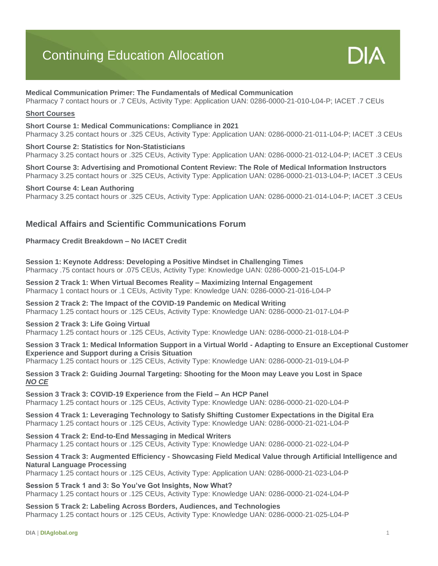# Continuing Education Allocation



# **Medical Communication Primer: The Fundamentals of Medical Communication**

Pharmacy 7 contact hours or .7 CEUs, Activity Type: Application UAN: 0286-0000-21-010-L04-P; IACET .7 CEUs

# **Short Courses**

#### **Short Course 1: Medical Communications: Compliance in 2021**

Pharmacy 3.25 contact hours or .325 CEUs, Activity Type: Application UAN: 0286-0000-21-011-L04-P; IACET .3 CEUs

# **Short Course 2: Statistics for Non-Statisticians**

Pharmacy 3.25 contact hours or .325 CEUs, Activity Type: Application UAN: 0286-0000-21-012-L04-P; IACET .3 CEUs

**Short Course 3: Advertising and Promotional Content Review: The Role of Medical Information Instructors** Pharmacy 3.25 contact hours or .325 CEUs, Activity Type: Application UAN: 0286-0000-21-013-L04-P; IACET .3 CEUs

# **Short Course 4: Lean Authoring**

Pharmacy 3.25 contact hours or .325 CEUs, Activity Type: Application UAN: 0286-0000-21-014-L04-P; IACET .3 CEUs

# **Medical Affairs and Scientific Communications Forum**

# **Pharmacy Credit Breakdown – No IACET Credit**

**Session 1: Keynote Address: Developing a Positive Mindset in Challenging Times** Pharmacy .75 contact hours or .075 CEUs, Activity Type: Knowledge UAN: 0286-0000-21-015-L04-P

**Session 2 Track 1: When Virtual Becomes Reality – Maximizing Internal Engagement** Pharmacy 1 contact hours or .1 CEUs, Activity Type: Knowledge UAN: 0286-0000-21-016-L04-P

**Session 2 Track 2: The Impact of the COVID-19 Pandemic on Medical Writing** Pharmacy 1.25 contact hours or .125 CEUs, Activity Type: Knowledge UAN: 0286-0000-21-017-L04-P

# **Session 2 Track 3: Life Going Virtual**

Pharmacy 1.25 contact hours or .125 CEUs, Activity Type: Knowledge UAN: 0286-0000-21-018-L04-P

**Session 3 Track 1: Medical Information Support in a Virtual World - Adapting to Ensure an Exceptional Customer Experience and Support during a Crisis Situation**

Pharmacy 1.25 contact hours or .125 CEUs, Activity Type: Knowledge UAN: 0286-0000-21-019-L04-P

**Session 3 Track 2: Guiding Journal Targeting: Shooting for the Moon may Leave you Lost in Space** *NO CE*

**Session 3 Track 3: COVID-19 Experience from the Field – An HCP Panel** Pharmacy 1.25 contact hours or .125 CEUs, Activity Type: Knowledge UAN: 0286-0000-21-020-L04-P

**Session 4 Track 1: Leveraging Technology to Satisfy Shifting Customer Expectations in the Digital Era** Pharmacy 1.25 contact hours or .125 CEUs, Activity Type: Knowledge UAN: 0286-0000-21-021-L04-P

**Session 4 Track 2: End-to-End Messaging in Medical Writers** Pharmacy 1.25 contact hours or .125 CEUs, Activity Type: Knowledge UAN: 0286-0000-21-022-L04-P

# **Session 4 Track 3: Augmented Efficiency - Showcasing Field Medical Value through Artificial Intelligence and Natural Language Processing**

Pharmacy 1.25 contact hours or .125 CEUs, Activity Type: Application UAN: 0286-0000-21-023-L04-P

**Session 5 Track 1 and 3: So You've Got Insights, Now What?** Pharmacy 1.25 contact hours or .125 CEUs, Activity Type: Knowledge UAN: 0286-0000-21-024-L04-P

**Session 5 Track 2: Labeling Across Borders, Audiences, and Technologies** Pharmacy 1.25 contact hours or .125 CEUs, Activity Type: Knowledge UAN: 0286-0000-21-025-L04-P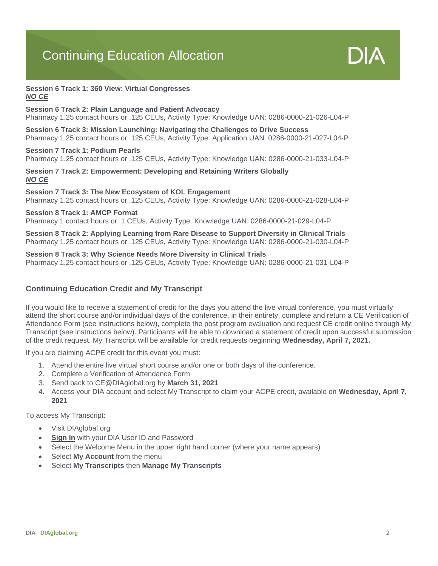# Continuing Education Allocation



#### **Session 6 Track 1: 360 View: Virtual Congresses** *NO CE*

#### **Session 6 Track 2: Plain Language and Patient Advocacy**

Pharmacy 1.25 contact hours or .125 CEUs, Activity Type: Knowledge UAN: 0286-0000-21-026-L04-P

**Session 6 Track 3: Mission Launching: Navigating the Challenges to Drive Success** Pharmacy 1.25 contact hours or .125 CEUs, Activity Type: Application UAN: 0286-0000-21-027-L04-P

# **Session 7 Track 1: Podium Pearls**

Pharmacy 1.25 contact hours or .125 CEUs, Activity Type: Knowledge UAN: 0286-0000-21-033-L04-P

# **Session 7 Track 2: Empowerment: Developing and Retaining Writers Globally** *NO CE*

# **Session 7 Track 3: The New Ecosystem of KOL Engagement**

Pharmacy 1.25 contact hours or .125 CEUs, Activity Type: Knowledge UAN: 0286-0000-21-028-L04-P

# **Session 8 Track 1: AMCP Format**

Pharmacy 1 contact hours or .1 CEUs, Activity Type: Knowledge UAN: 0286-0000-21-029-L04-P

**Session 8 Track 2: Applying Learning from Rare Disease to Support Diversity in Clinical Trials** Pharmacy 1.25 contact hours or .125 CEUs, Activity Type: Knowledge UAN: 0286-0000-21-030-L04-P

# **Session 8 Track 3: Why Science Needs More Diversity in Clinical Trials**

Pharmacy 1.25 contact hours or .125 CEUs, Activity Type: Knowledge UAN: 0286-0000-21-031-L04-P

# **Continuing Education Credit and My Transcript**

If you would like to receive a statement of credit for the days you attend the live virtual conference, you must virtually attend the short course and/or individual days of the conference, in their entirety, complete and return a CE Verification of Attendance Form (see instructions below), complete the post program evaluation and request CE credit online through My Transcript (see instructions below). Participants will be able to download a statement of credit upon successful submission of the credit request. My Transcript will be available for credit requests beginning **Wednesday, April 7, 2021.**

If you are claiming ACPE credit for this event you must:

- 1. Attend the entire live virtual short course and/or one or both days of the conference.
- 2. Complete a Verification of Attendance Form
- 3. Send back to CE@DIAglobal.org by **March 31, 2021**
- 4. Access your DIA account and select My Transcript to claim your ACPE credit, available on **Wednesday, April 7, 2021**

To access My Transcript:

- Visit DIAglobal.org
- **Sign In** with your DIA User ID and Password
- Select the Welcome Menu in the upper right hand corner (where your name appears)
- Select **My Account** from the menu
- Select **My Transcripts** then **Manage My Transcripts**